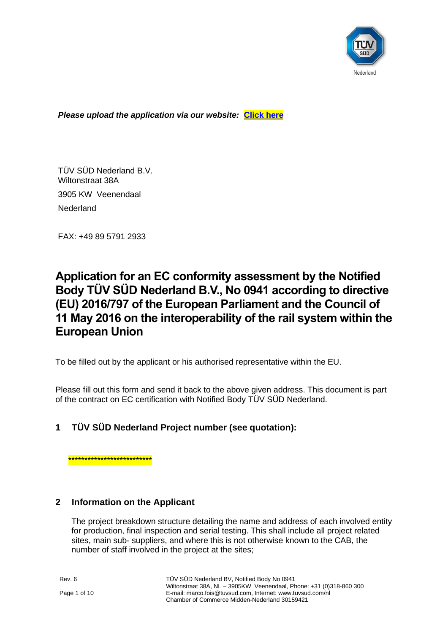

*Please upload the application via our website:* **[Click here](https://www.tuvsud.com/en-gb/country/netherlands/application-forms)**

TÜV SÜD Nederland B.V. Wiltonstraat 38A 3905 KW Veenendaal

**Nederland** 

FAX: +49 89 5791 2933

# **Application for an EC conformity assessment by the Notified Body TÜV SÜD Nederland B.V., No 0941 according to directive (EU) 2016/797 of the European Parliament and the Council of 11 May 2016 on the interoperability of the rail system within the European Union**

To be filled out by the applicant or his authorised representative within the EU.

Please fill out this form and send it back to the above given address. This document is part of the contract on EC certification with Notified Body TÜV SÜD Nederland.

# **1 TÜV SÜD Nederland Project number (see quotation):**

\*\*\*\*\*\*\*\*\*\*\*\*\*\*\*\*\*\*\*\*\*\*\*\*\*\*

## **2 Information on the Applicant**

The project breakdown structure detailing the name and address of each involved entity for production, final inspection and serial testing. This shall include all project related sites, main sub- suppliers, and where this is not otherwise known to the CAB, the number of staff involved in the project at the sites;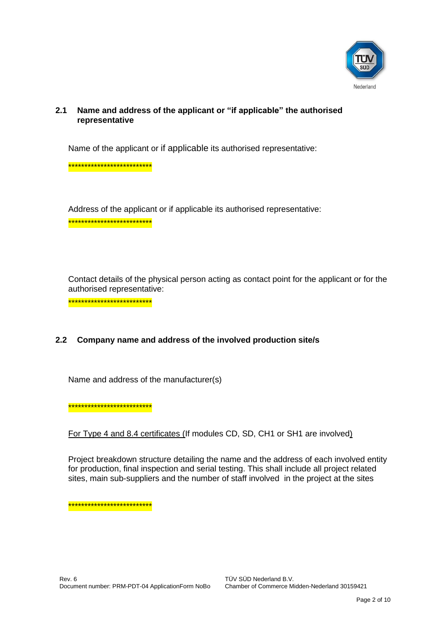

### $2.1$ Name and address of the applicant or "if applicable" the authorised representative

Name of the applicant or if applicable its authorised representative:

\*\*\*\*\*\*\*\*\*\*\*\*\*\*\*\*\*\*\*\*\*\*\*\*\*\*\*

Address of the applicant or if applicable its authorised representative: \*\*\*\*\*\*\*\*\*\*\*\*\*\*\*\*\*\*\*\*\*\*\*\*\*\*

Contact details of the physical person acting as contact point for the applicant or for the authorised representative:

\*\*\*\*\*\*\*\*\*\*\*\*\*\*\*\*\*\*\*\*\*\*\*\*\*\*

#### $2.2$ Company name and address of the involved production site/s

Name and address of the manufacturer(s)

\*\*\*\*\*\*\*\*\*\*\*\*\*\*\*\*\*\*\*\*\*\*\*\*\*\*

For Type 4 and 8.4 certificates (If modules CD, SD, CH1 or SH1 are involved)

Project breakdown structure detailing the name and the address of each involved entity for production, final inspection and serial testing. This shall include all project related sites, main sub-suppliers and the number of staff involved in the project at the sites

\*\*\*\*\*\*\*\*\*\*\*\*\*\*\*\*\*\*\*\*\*\*\*\*\*\*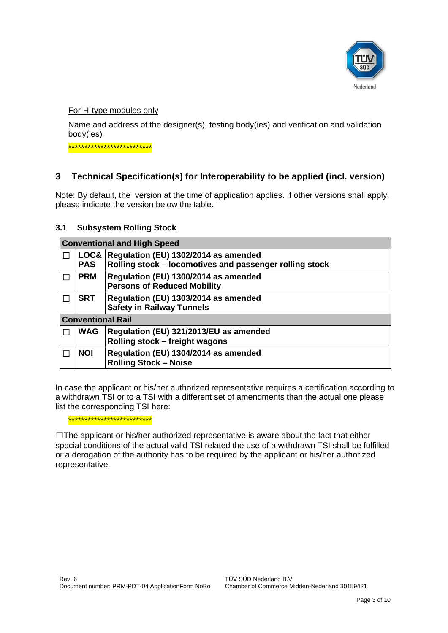

For H-type modules only

Name and address of the designer(s), testing body(ies) and verification and validation body(ies)

\*\*\*\*\*\*\*\*\*\*\*\*\*\*\*\*\*\*\*\*\*\*\*\*\*\*

# **3 Technical Specification(s) for Interoperability to be applied (incl. version)**

Note: By default, the version at the time of application applies. If other versions shall apply, please indicate the version below the table.

## **3.1 Subsystem Rolling Stock**

| <b>Conventional and High Speed</b> |                                |                                                                                                 |  |  |
|------------------------------------|--------------------------------|-------------------------------------------------------------------------------------------------|--|--|
|                                    | LOG <sub>8</sub><br><b>PAS</b> | Regulation (EU) 1302/2014 as amended<br>Rolling stock - locomotives and passenger rolling stock |  |  |
|                                    | <b>PRM</b>                     | Regulation (EU) 1300/2014 as amended<br><b>Persons of Reduced Mobility</b>                      |  |  |
|                                    | <b>SRT</b>                     | Regulation (EU) 1303/2014 as amended<br><b>Safety in Railway Tunnels</b>                        |  |  |
| <b>Conventional Rail</b>           |                                |                                                                                                 |  |  |
|                                    | <b>WAG</b>                     | Regulation (EU) 321/2013/EU as amended<br>Rolling stock - freight wagons                        |  |  |
|                                    | <b>NOI</b>                     | Regulation (EU) 1304/2014 as amended<br><b>Rolling Stock - Noise</b>                            |  |  |

In case the applicant or his/her authorized representative requires a certification according to a withdrawn TSI or to a TSI with a different set of amendments than the actual one please list the corresponding TSI here:

\*\*\*\*\*\*\*\*\*\*\*\*\*\*\*\*\*\*\*\*\*\*\*\*\*\*

 $\Box$ The applicant or his/her authorized representative is aware about the fact that either special conditions of the actual valid TSI related the use of a withdrawn TSI shall be fulfilled or a derogation of the authority has to be required by the applicant or his/her authorized representative.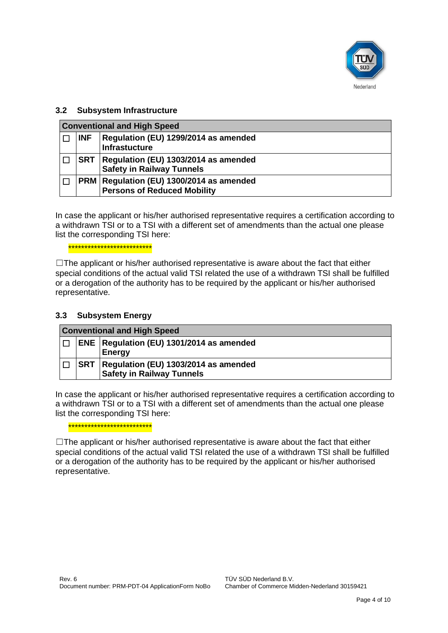

## **3.2 Subsystem Infrastructure**

| <b>Conventional and High Speed</b> |            |                                                                                  |  |  |
|------------------------------------|------------|----------------------------------------------------------------------------------|--|--|
|                                    | <b>INF</b> | Regulation (EU) 1299/2014 as amended<br><b>Infrastucture</b>                     |  |  |
|                                    | <b>SRT</b> | Regulation (EU) 1303/2014 as amended<br><b>Safety in Railway Tunnels</b>         |  |  |
|                                    |            | PRM   Regulation (EU) 1300/2014 as amended<br><b>Persons of Reduced Mobility</b> |  |  |

In case the applicant or his/her authorised representative requires a certification according to a withdrawn TSI or to a TSI with a different set of amendments than the actual one please list the corresponding TSI here:

\*\*\*\*\*\*\*\*\*\*\*\*\*\*\*\*\*\*\*\*\*\*\*\*\*\*

 $\Box$ The applicant or his/her authorised representative is aware about the fact that either special conditions of the actual valid TSI related the use of a withdrawn TSI shall be fulfilled or a derogation of the authority has to be required by the applicant or his/her authorised representative.

## **3.3 Subsystem Energy**

| <b>Conventional and High Speed</b> |  |                                                             |
|------------------------------------|--|-------------------------------------------------------------|
| П                                  |  | ENE   Regulation (EU) 1301/2014 as amended<br><b>Energy</b> |
|                                    |  | SRT   Regulation (EU) 1303/2014 as amended                  |
|                                    |  | <b>Safety in Railway Tunnels</b>                            |

In case the applicant or his/her authorised representative requires a certification according to a withdrawn TSI or to a TSI with a different set of amendments than the actual one please list the corresponding TSI here:

\*\*\*\*\*\*\*\*\*\*\*\*\*\*\*\*\*\*\*\*\*\*\*\*\*\*

 $\Box$ The applicant or his/her authorised representative is aware about the fact that either special conditions of the actual valid TSI related the use of a withdrawn TSI shall be fulfilled or a derogation of the authority has to be required by the applicant or his/her authorised representative.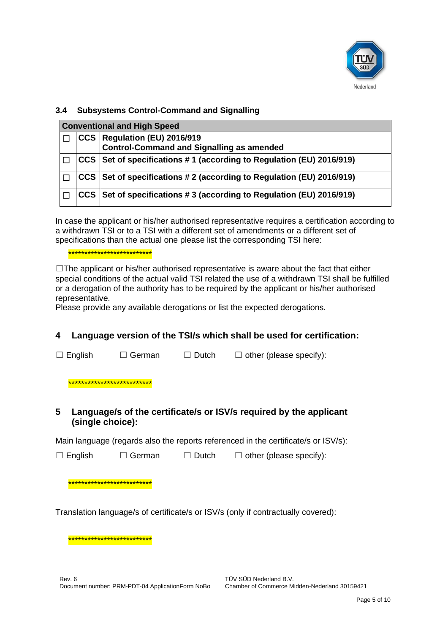

## 3.4 Subsystems Control-Command and Signalling

| <b>Conventional and High Speed</b> |  |                                                                                    |  |  |
|------------------------------------|--|------------------------------------------------------------------------------------|--|--|
|                                    |  | CCS   Regulation (EU) 2016/919<br><b>Control-Command and Signalling as amended</b> |  |  |
|                                    |  | CCS   Set of specifications #1 (according to Regulation (EU) 2016/919)             |  |  |
|                                    |  | CCS Set of specifications # 2 (according to Regulation (EU) 2016/919)              |  |  |
|                                    |  | CCS   Set of specifications #3 (according to Regulation (EU) 2016/919)             |  |  |

In case the applicant or his/her authorised representative requires a certification according to a withdrawn TSI or to a TSI with a different set of amendments or a different set of specifications than the actual one please list the corresponding TSI here:

## \*\*\*\*\*\*\*\*\*\*\*\*\*\*\*\*\*\*\*\*\*\*\*\*\*\*

 $\Box$  The applicant or his/her authorised representative is aware about the fact that either special conditions of the actual valid TSI related the use of a withdrawn TSI shall be fulfilled or a derogation of the authority has to be required by the applicant or his/her authorised representative.

Please provide any available derogations or list the expected derogations.

#### 4 Language version of the TSI/s which shall be used for certification:

 $\Box$  English  $\Box$  German  $\Box$  Dutch  $\Box$  other (please specify):

\*\*\*\*\*\*\*\*\*\*\*\*\*\*\*\*\*\*\*\*\*\*\*

### 5 Language/s of the certificate/s or ISV/s required by the applicant (single choice):

Main language (regards also the reports referenced in the certificate/s or ISV/s):

 $\Box$  English  $\Box$  German  $\Box$  Dutch  $\Box$  other (please specify):

## \*\*\*\*\*\*\*\*\*\*\*\*\*\*\*\*\*\*\*\*\*\*\*\*\*\*

Translation language/s of certificate/s or ISV/s (only if contractually covered):

\*\*\*\*\*\*\*\*\*\*\*\*\*\*\*\*\*\*\*\*\*\*\*\*\*\*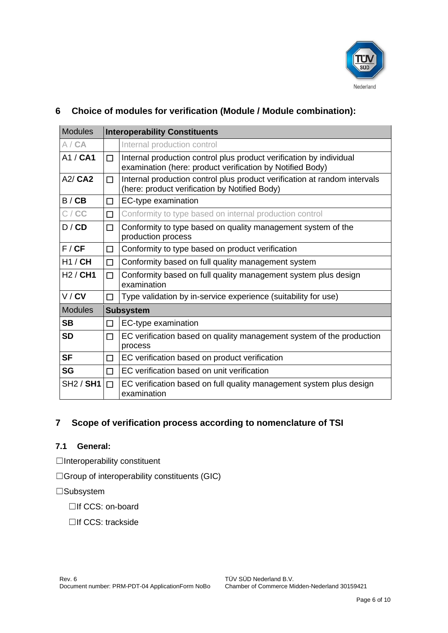

# Modules **Interoperability Constituents** A / **CA** Internal production control A1 /  $CA1$   $\Box$  Internal production control plus product verification by individual examination (here: product verification by Notified Body) A2/ **CA2**  $\Box$  Internal production control plus product verification at random intervals (here: product verification by Notified Body)  $B / CB$   $\Box$  EC-type examination C / **CC** □ □ Conformity to type based on internal production control D / **CD**  $\Box$  Conformity to type based on quality management system of the production process  $F / CF$   $\Box$  Conformity to type based on product verification H1 / **CH**  $\Box$  Conformity based on full quality management system H2 / **CH1**  $\Box$  Conformity based on full quality management system plus design examination  $V / CV$   $\Box$  Type validation by in-service experience (suitability for use) Modules **Subsystem SB**  $\Box$  EC-type examination **SD**  $\Box$  EC verification based on quality management system of the production process **SF** □ EC verification based on product verification **SG** □ □ EC verification based on unit verification  $SH2 / SH1 \Box$  EC verification based on full quality management system plus design examination

# **6 Choice of modules for verification (Module / Module combination):**

# **7 Scope of verification process according to nomenclature of TSI**

## **7.1 General:**

□Interoperability constituent

☐Group of interoperability constituents (GIC)

☐Subsystem

□If CCS: on-board

☐If CCS: trackside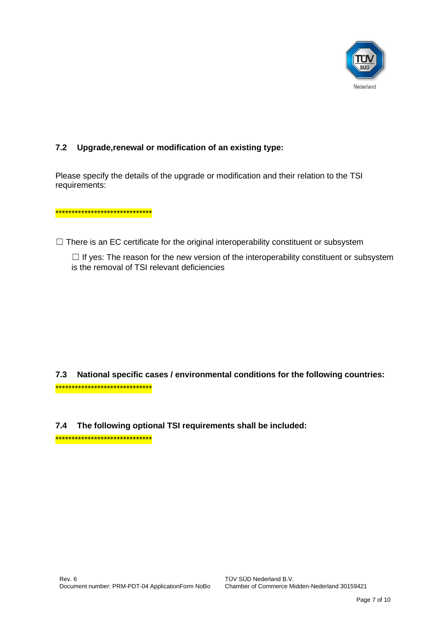

### $7.2$ Upgrade, renewal or modification of an existing type:

Please specify the details of the upgrade or modification and their relation to the TSI requirements:

\*\*\*\*\*\*\*\*\*\*\*\*\*\*\*\*\*\*\*\*\*\*\*\*\*\*\*\*\*\*

 $\Box$  There is an EC certificate for the original interoperability constituent or subsystem

 $\Box$  If yes: The reason for the new version of the interoperability constituent or subsystem is the removal of TSI relevant deficiencies

National specific cases / environmental conditions for the following countries:  $7.3$ \*\*\*\*\*\*\*\*\*\*\*\*\*\*\*\*\*\*\*\*\*\*\*\*\*\*\*\*\*\*\*

7.4 The following optional TSI requirements shall be included:

\*\*\*\*\*\*\*\*\*\*\*\*\*\*\*\*\*\*\*\*\*\*\*\*\*\*\*\*\*\*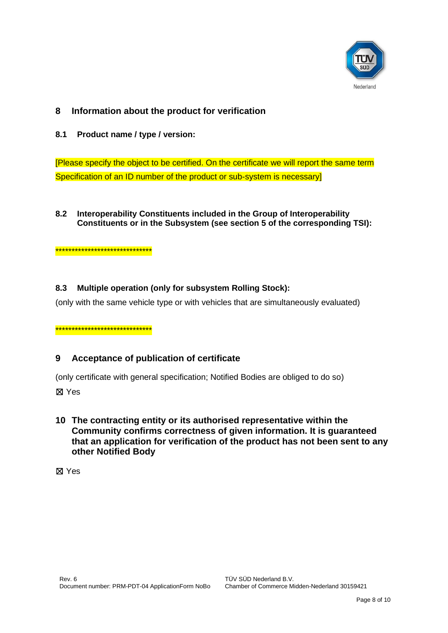

### 8 Information about the product for verification

 $8.1$ Product name / type / version:

[Please specify the object to be certified. On the certificate we will report the same term Specification of an ID number of the product or sub-system is necessary]

### $8.2$ Interoperability Constituents included in the Group of Interoperability Constituents or in the Subsystem (see section 5 of the corresponding TSI):

\*\*\*\*\*\*\*\*\*\*\*\*\*\*\*\*\*\*\*\*\*\*\*\*\*\*\*\*\*\*

#### Multiple operation (only for subsystem Rolling Stock): 8.3

(only with the same vehicle type or with vehicles that are simultaneously evaluated)

\*\*\*\*\*\*\*\*\*\*\*\*\*\*\*\*\*\*\*\*\*\*\*\*\*\*\*\*\*\*

#### $9$ Acceptance of publication of certificate

(only certificate with general specification; Notified Bodies are obliged to do so)

⊠ Yes

10 The contracting entity or its authorised representative within the Community confirms correctness of given information. It is guaranteed that an application for verification of the product has not been sent to any other Notified Body

**X** Yes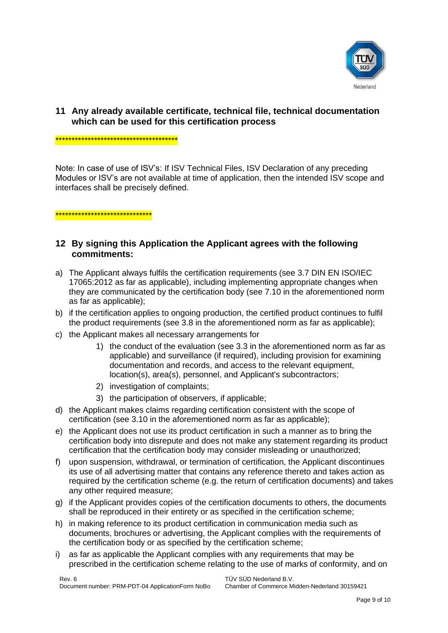

## **11 Any already available certificate, technical file, technical documentation which can be used for this certification process**

## \*\*\*\*\*\*\*\*\*\*\*\*\*\*\*\*\*\*\*\*\*\*\*\*\*\*\*\*\*\*\*\*\*\*\*\*\*

Note: In case of use of ISV's: If ISV Technical Files, ISV Declaration of any preceding Modules or ISV's are not available at time of application, then the intended ISV scope and interfaces shall be precisely defined.

\*\*\*\*\*\*\*\*\*\*\*\*\*\*\*\*\*\*\*\*\*\*\*\*\*\*\*\*\*\*

## **12 By signing this Application the Applicant agrees with the following commitments:**

- a) The Applicant always fulfils the certification requirements (see 3.7 DIN EN ISO/IEC 17065:2012 as far as applicable), including implementing appropriate changes when they are communicated by the certification body (see 7.10 in the aforementioned norm as far as applicable);
- b) if the certification applies to ongoing production, the certified product continues to fulfil the product requirements (see 3.8 in the aforementioned norm as far as applicable);
- c) the Applicant makes all necessary arrangements for
	- 1) the conduct of the evaluation (see 3.3 in the aforementioned norm as far as applicable) and surveillance (if required), including provision for examining documentation and records, and access to the relevant equipment, location(s), area(s), personnel, and Applicant's subcontractors;
	- 2) investigation of complaints;
	- 3) the participation of observers, if applicable;
- d) the Applicant makes claims regarding certification consistent with the scope of certification (see 3.10 in the aforementioned norm as far as applicable);
- e) the Applicant does not use its product certification in such a manner as to bring the certification body into disrepute and does not make any statement regarding its product certification that the certification body may consider misleading or unauthorized;
- f) upon suspension, withdrawal, or termination of certification, the Applicant discontinues its use of all advertising matter that contains any reference thereto and takes action as required by the certification scheme (e.g. the return of certification documents) and takes any other required measure;
- g) if the Applicant provides copies of the certification documents to others, the documents shall be reproduced in their entirety or as specified in the certification scheme;
- h) in making reference to its product certification in communication media such as documents, brochures or advertising, the Applicant complies with the requirements of the certification body or as specified by the certification scheme;
- i) as far as applicable the Applicant complies with any requirements that may be prescribed in the certification scheme relating to the use of marks of conformity, and on